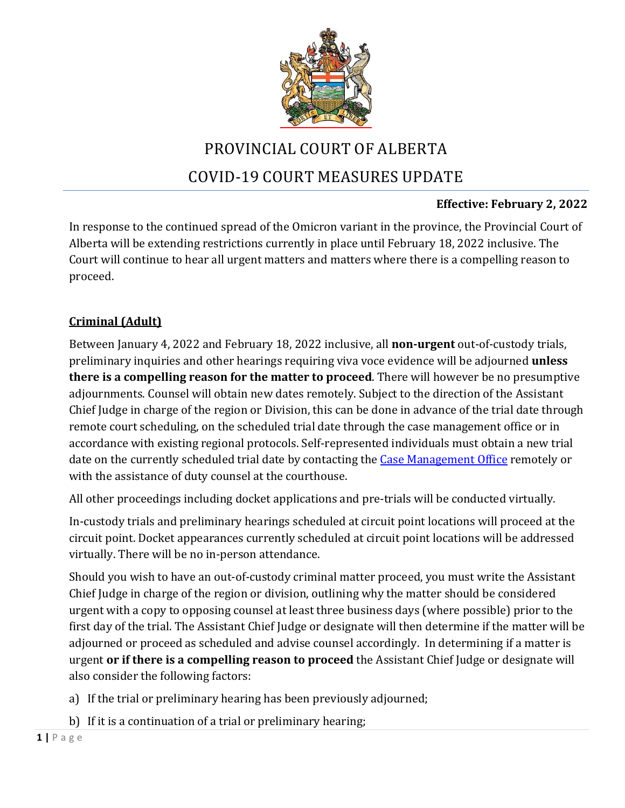

# PROVINCIAL COURT OF ALBERTA COVID-19 COURT MEASURES UPDATE

## **Effective: February 2, 2022**

In response to the continued spread of the Omicron variant in the province, the Provincial Court of Alberta will be extending restrictions currently in place until February 18, 2022 inclusive. The Court will continue to hear all urgent matters and matters where there is a compelling reason to proceed.

## **Criminal (Adult)**

Between January 4, 2022 and February 18, 2022 inclusive, all **non-urgent** out-of-custody trials, preliminary inquiries and other hearings requiring viva voce evidence will be adjourned **unless there is a compelling reason for the matter to proceed**. There will however be no presumptive adjournments. Counsel will obtain new dates remotely. Subject to the direction of the Assistant Chief Judge in charge of the region or Division, this can be done in advance of the trial date through remote court scheduling, on the scheduled trial date through the case management office or in accordance with existing regional protocols. Self-represented individuals must obtain a new trial date on the currently scheduled trial date by contacting the Case [Management Office](https://albertacourts.ca/docs/default-source/pc/provincial-court-contact-list-for-cmo-appearances.pdf?sfvrsn=12469580_70) remotely or with the assistance of duty counsel at the courthouse.

All other proceedings including docket applications and pre-trials will be conducted virtually.

In-custody trials and preliminary hearings scheduled at circuit point locations will proceed at the circuit point. Docket appearances currently scheduled at circuit point locations will be addressed virtually. There will be no in-person attendance.

Should you wish to have an out-of-custody criminal matter proceed, you must write the Assistant Chief Judge in charge of the region or division, outlining why the matter should be considered urgent with a copy to opposing counsel at least three business days (where possible) prior to the first day of the trial. The Assistant Chief Judge or designate will then determine if the matter will be adjourned or proceed as scheduled and advise counsel accordingly. In determining if a matter is urgent **or if there is a compelling reason to proceed** the Assistant Chief Judge or designate will also consider the following factors:

- a) If the trial or preliminary hearing has been previously adjourned;
- b) If it is a continuation of a trial or preliminary hearing;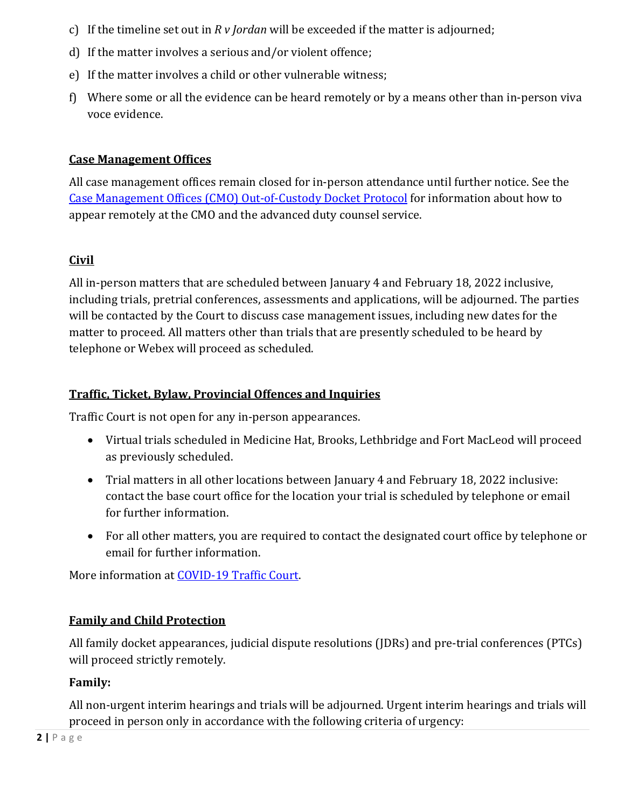- c) If the timeline set out in *R v Jordan* will be exceeded if the matter is adjourned;
- d) If the matter involves a serious and/or violent offence;
- e) If the matter involves a child or other vulnerable witness;
- f) Where some or all the evidence can be heard remotely or by a means other than in-person viva voce evidence.

#### **Case Management Offices**

All case management offices remain closed for in-person attendance until further notice. See the Case [Management Offices \(CMO\) Out-of-Custody Docket Protocol](https://albertacourts.ca/pc/resources/covid/covid-19-criminal-and-youth-criminal-matters/CMO) for information about how to appear remotely at the CMO and the advanced duty counsel service.

## **Civil**

All in-person matters that are scheduled between January 4 and February 18, 2022 inclusive, including trials, pretrial conferences, assessments and applications, will be adjourned. The parties will be contacted by the Court to discuss case management issues, including new dates for the matter to proceed. All matters other than trials that are presently scheduled to be heard by telephone or Webex will proceed as scheduled.

#### **Traffic, Ticket, Bylaw, Provincial Offences and Inquiries**

Traffic Court is not open for any in-person appearances.

- Virtual trials scheduled in Medicine Hat, Brooks, Lethbridge and Fort MacLeod will proceed as previously scheduled.
- Trial matters in all other locations between January 4 and February 18, 2022 inclusive: contact the base court office for the location your trial is scheduled by telephone or email for further information.
- For all other matters, you are required to contact the designated court office by telephone or email for further information.

More information at [COVID-19 Traffic Court.](https://albertacourts.ca/pc/resources/covid/covid-19-traffic-court)

## **Family and Child Protection**

All family docket appearances, judicial dispute resolutions (JDRs) and pre-trial conferences (PTCs) will proceed strictly remotely.

## **Family:**

All non-urgent interim hearings and trials will be adjourned. Urgent interim hearings and trials will proceed in person only in accordance with the following criteria of urgency: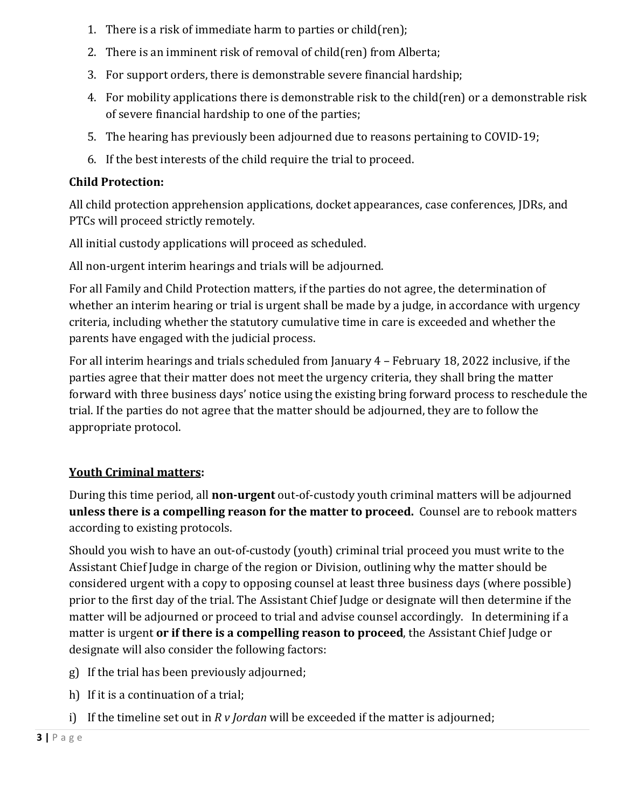- 1. There is a risk of immediate harm to parties or child(ren);
- 2. There is an imminent risk of removal of child(ren) from Alberta;
- 3. For support orders, there is demonstrable severe financial hardship;
- 4. For mobility applications there is demonstrable risk to the child(ren) or a demonstrable risk of severe financial hardship to one of the parties;
- 5. The hearing has previously been adjourned due to reasons pertaining to COVID-19;
- 6. If the best interests of the child require the trial to proceed.

# **Child Protection:**

All child protection apprehension applications, docket appearances, case conferences, JDRs, and PTCs will proceed strictly remotely.

All initial custody applications will proceed as scheduled.

All non-urgent interim hearings and trials will be adjourned.

For all Family and Child Protection matters, if the parties do not agree, the determination of whether an interim hearing or trial is urgent shall be made by a judge, in accordance with urgency criteria, including whether the statutory cumulative time in care is exceeded and whether the parents have engaged with the judicial process.

For all interim hearings and trials scheduled from January 4 – February 18, 2022 inclusive, if the parties agree that their matter does not meet the urgency criteria, they shall bring the matter forward with three business days' notice using the existing bring forward process to reschedule the trial. If the parties do not agree that the matter should be adjourned, they are to follow the appropriate protocol.

# **Youth Criminal matters:**

During this time period, all **non-urgent** out-of-custody youth criminal matters will be adjourned **unless there is a compelling reason for the matter to proceed.** Counsel are to rebook matters according to existing protocols.

Should you wish to have an out-of-custody (youth) criminal trial proceed you must write to the Assistant Chief Judge in charge of the region or Division, outlining why the matter should be considered urgent with a copy to opposing counsel at least three business days (where possible) prior to the first day of the trial. The Assistant Chief Judge or designate will then determine if the matter will be adjourned or proceed to trial and advise counsel accordingly. In determining if a matter is urgent **or if there is a compelling reason to proceed**, the Assistant Chief Judge or designate will also consider the following factors:

- g) If the trial has been previously adjourned;
- h) If it is a continuation of a trial;
- i) If the timeline set out in *R v Jordan* will be exceeded if the matter is adjourned;